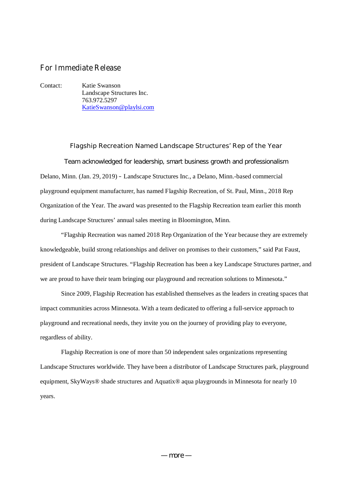## **For Immediate Release**

Contact: Katie Swanson Landscape Structures Inc. 763.972.5297 KatieSwanson@playlsi.com

**Flagship Recreation Named Landscape Structures' Rep of the Year** Team acknowledged for leadership, smart business growth and professionalism Delano, Minn. (Jan. 29, 2019) **–** Landscape Structures Inc., a Delano, Minn.-based commercial playground equipment manufacturer, has named Flagship Recreation, of St. Paul, Minn., 2018 Rep Organization of the Year. The award was presented to the Flagship Recreation team earlier this month during Landscape Structures' annual sales meeting in Bloomington, Minn.

"Flagship Recreation was named 2018 Rep Organization of the Year because they are extremely knowledgeable, build strong relationships and deliver on promises to their customers," said Pat Faust, president of Landscape Structures. "Flagship Recreation has been a key Landscape Structures partner, and we are proud to have their team bringing our playground and recreation solutions to Minnesota."

Since 2009, Flagship Recreation has established themselves as the leaders in creating spaces that impact communities across Minnesota. With a team dedicated to offering a full-service approach to playground and recreational needs, they invite you on the journey of providing play to everyone, regardless of ability.

Flagship Recreation is one of more than 50 independent sales organizations representing Landscape Structures worldwide. They have been a distributor of Landscape Structures park, playground equipment, SkyWays® shade structures and Aquatix® aqua playgrounds in Minnesota for nearly 10 years.